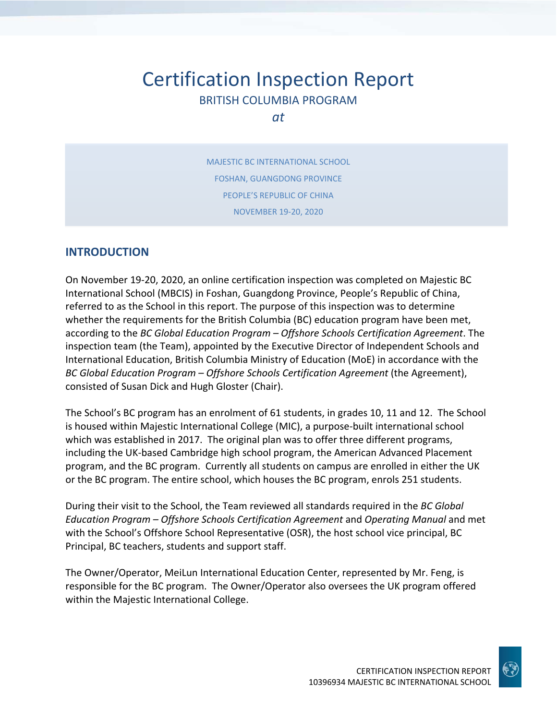# Certification Inspection Report BRITISH COLUMBIA PROGRAM

*at*

MAJESTIC BC INTERNATIONAL SCHOOL FOSHAN, GUANGDONG PROVINCE PEOPLE'S REPUBLIC OF CHINA NOVEMBER 19‐20, 2020

### **INTRODUCTION**

On November 19‐20, 2020, an online certification inspection was completed on Majestic BC International School (MBCIS) in Foshan, Guangdong Province, People's Republic of China, referred to as the School in this report. The purpose of this inspection was to determine whether the requirements for the British Columbia (BC) education program have been met, according to the *BC Global Education Program – Offshore Schools Certification Agreement*. The inspection team (the Team), appointed by the Executive Director of Independent Schools and International Education, British Columbia Ministry of Education (MoE) in accordance with the *BC Global Education Program – Offshore Schools Certification Agreement* (the Agreement), consisted of Susan Dick and Hugh Gloster (Chair).

The School's BC program has an enrolment of 61 students, in grades 10, 11 and 12. The School is housed within Majestic International College (MIC), a purpose‐built international school which was established in 2017. The original plan was to offer three different programs, including the UK‐based Cambridge high school program, the American Advanced Placement program, and the BC program. Currently all students on campus are enrolled in either the UK or the BC program. The entire school, which houses the BC program, enrols 251 students.

During their visit to the School, the Team reviewed all standards required in the *BC Global Education Program – Offshore Schools Certification Agreement* and *Operating Manual* and met with the School's Offshore School Representative (OSR), the host school vice principal, BC Principal, BC teachers, students and support staff.

The Owner/Operator, MeiLun International Education Center, represented by Mr. Feng, is responsible for the BC program. The Owner/Operator also oversees the UK program offered within the Majestic International College.

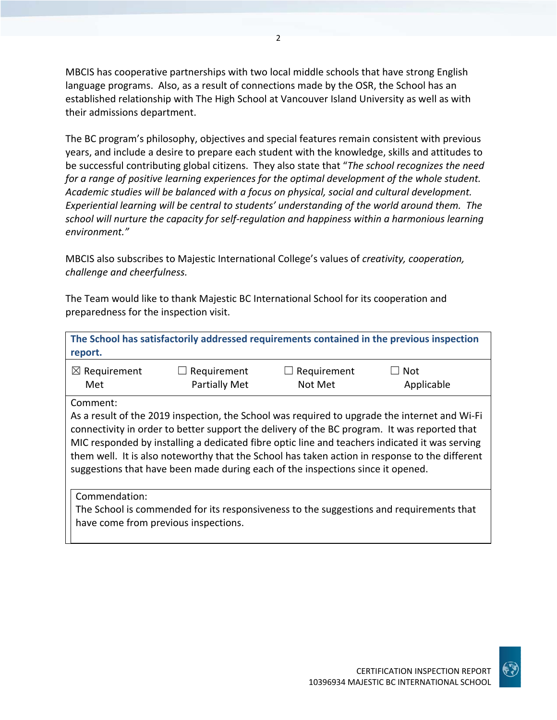MBCIS has cooperative partnerships with two local middle schools that have strong English language programs. Also, as a result of connections made by the OSR, the School has an established relationship with The High School at Vancouver Island University as well as with their admissions department.

The BC program's philosophy, objectives and special features remain consistent with previous years, and include a desire to prepare each student with the knowledge, skills and attitudes to be successful contributing global citizens. They also state that "*The school recognizes the need for a range of positive learning experiences for the optimal development of the whole student. Academic studies will be balanced with a focus on physical, social and cultural development. Experiential learning will be central to students' understanding of the world around them. The school will nurture the capacity for self‐regulation and happiness within a harmonious learning environment."*

MBCIS also subscribes to Majestic International College's values of *creativity, cooperation, challenge and cheerfulness.*

The Team would like to thank Majestic BC International School for its cooperation and preparedness for the inspection visit.

| The School has satisfactorily addressed requirements contained in the previous inspection<br>report.                                                                                                                                                                                                                                                                                                                                                                                 |                                     |                        |                   |
|--------------------------------------------------------------------------------------------------------------------------------------------------------------------------------------------------------------------------------------------------------------------------------------------------------------------------------------------------------------------------------------------------------------------------------------------------------------------------------------|-------------------------------------|------------------------|-------------------|
| $\boxtimes$ Requirement<br>Met                                                                                                                                                                                                                                                                                                                                                                                                                                                       | Requirement<br><b>Partially Met</b> | Requirement<br>Not Met | Not<br>Applicable |
| Comment:                                                                                                                                                                                                                                                                                                                                                                                                                                                                             |                                     |                        |                   |
| As a result of the 2019 inspection, the School was required to upgrade the internet and Wi-Fi<br>connectivity in order to better support the delivery of the BC program. It was reported that<br>MIC responded by installing a dedicated fibre optic line and teachers indicated it was serving<br>them well. It is also noteworthy that the School has taken action in response to the different<br>suggestions that have been made during each of the inspections since it opened. |                                     |                        |                   |
| Commendation:<br>The School is commended for its responsiveness to the suggestions and requirements that<br>have come from previous inspections.                                                                                                                                                                                                                                                                                                                                     |                                     |                        |                   |

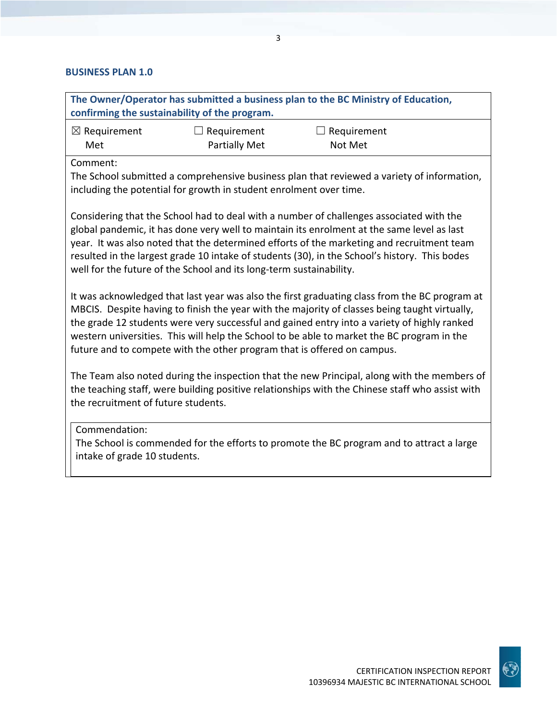## **BUSINESS PLAN 1.0**

| The Owner/Operator has submitted a business plan to the BC Ministry of Education,<br>confirming the sustainability of the program.                                                                                                                                                                                                                                                                                                                                     |                                                                    |                                                                                                                                                                                                |  |
|------------------------------------------------------------------------------------------------------------------------------------------------------------------------------------------------------------------------------------------------------------------------------------------------------------------------------------------------------------------------------------------------------------------------------------------------------------------------|--------------------------------------------------------------------|------------------------------------------------------------------------------------------------------------------------------------------------------------------------------------------------|--|
| $\boxtimes$ Requirement<br>Met                                                                                                                                                                                                                                                                                                                                                                                                                                         | Requirement<br><b>Partially Met</b>                                | Requirement<br>Not Met                                                                                                                                                                         |  |
| Comment:                                                                                                                                                                                                                                                                                                                                                                                                                                                               | including the potential for growth in student enrolment over time. | The School submitted a comprehensive business plan that reviewed a variety of information,                                                                                                     |  |
| Considering that the School had to deal with a number of challenges associated with the<br>global pandemic, it has done very well to maintain its enrolment at the same level as last<br>year. It was also noted that the determined efforts of the marketing and recruitment team<br>resulted in the largest grade 10 intake of students (30), in the School's history. This bodes<br>well for the future of the School and its long-term sustainability.             |                                                                    |                                                                                                                                                                                                |  |
| It was acknowledged that last year was also the first graduating class from the BC program at<br>MBCIS. Despite having to finish the year with the majority of classes being taught virtually,<br>the grade 12 students were very successful and gained entry into a variety of highly ranked<br>western universities. This will help the School to be able to market the BC program in the<br>future and to compete with the other program that is offered on campus. |                                                                    |                                                                                                                                                                                                |  |
| the recruitment of future students.                                                                                                                                                                                                                                                                                                                                                                                                                                    |                                                                    | The Team also noted during the inspection that the new Principal, along with the members of<br>the teaching staff, were building positive relationships with the Chinese staff who assist with |  |
| Commendation:<br>intake of grade 10 students.                                                                                                                                                                                                                                                                                                                                                                                                                          |                                                                    | The School is commended for the efforts to promote the BC program and to attract a large                                                                                                       |  |

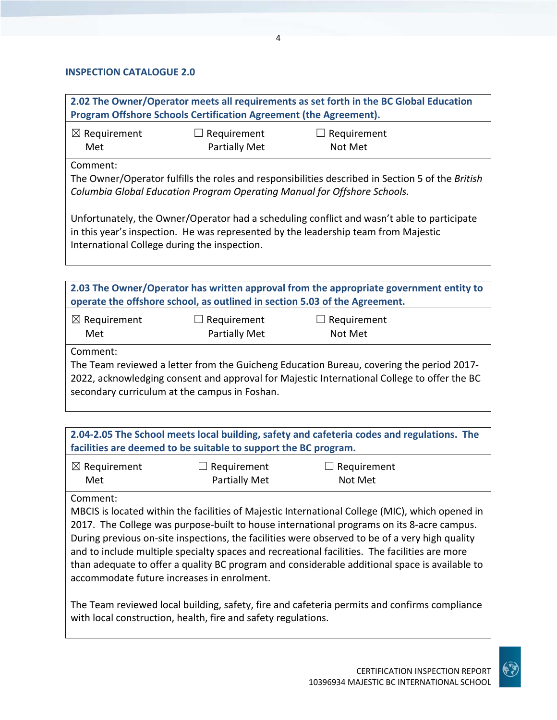#### **INSPECTION CATALOGUE 2.0**

**2.02 The Owner/Operator meets all requirements as set forth in the BC Global Education Program Offshore Schools Certification Agreement (the Agreement).**

| $\boxtimes$ Requirement | $\Box$ Requirement   | $\Box$ Requirement |
|-------------------------|----------------------|--------------------|
| Met                     | <b>Partially Met</b> | Not Met            |

Comment:

The Owner/Operator fulfills the roles and responsibilities described in Section 5 of the *British Columbia Global Education Program Operating Manual for Offshore Schools.*

Unfortunately, the Owner/Operator had a scheduling conflict and wasn't able to participate in this year's inspection. He was represented by the leadership team from Majestic International College during the inspection.

**2.03 The Owner/Operator has written approval from the appropriate government entity to operate the offshore school, as outlined in section 5.03 of the Agreement.**

| $\boxtimes$ Requirement | $\Box$ Requirement   | $\Box$ Requirement |
|-------------------------|----------------------|--------------------|
| Met                     | <b>Partially Met</b> | Not Met            |

Comment:

The Team reviewed a letter from the Guicheng Education Bureau, covering the period 2017‐ 2022, acknowledging consent and approval for Majestic International College to offer the BC secondary curriculum at the campus in Foshan.

**2.04‐2.05 The School meets local building, safety and cafeteria codes and regulations. The facilities are deemed to be suitable to support the BC program.**

| $\boxtimes$ Requirement | $\Box$ Requirement   | $\Box$ Requirement |
|-------------------------|----------------------|--------------------|
| Met                     | <b>Partially Met</b> | Not Met            |

Comment:

MBCIS is located within the facilities of Majestic International College (MIC), which opened in 2017. The College was purpose‐built to house international programs on its 8‐acre campus. During previous on-site inspections, the facilities were observed to be of a very high quality and to include multiple specialty spaces and recreational facilities. The facilities are more than adequate to offer a quality BC program and considerable additional space is available to accommodate future increases in enrolment.

The Team reviewed local building, safety, fire and cafeteria permits and confirms compliance with local construction, health, fire and safety regulations.

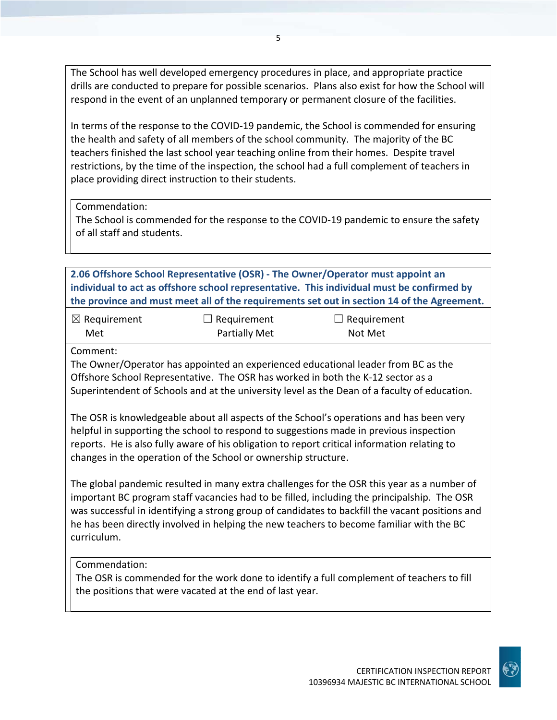The School has well developed emergency procedures in place, and appropriate practice drills are conducted to prepare for possible scenarios. Plans also exist for how the School will respond in the event of an unplanned temporary or permanent closure of the facilities.

In terms of the response to the COVID‐19 pandemic, the School is commended for ensuring the health and safety of all members of the school community. The majority of the BC teachers finished the last school year teaching online from their homes. Despite travel restrictions, by the time of the inspection, the school had a full complement of teachers in place providing direct instruction to their students.

Commendation:

The School is commended for the response to the COVID‐19 pandemic to ensure the safety of all staff and students.

**2.06 Offshore School Representative (OSR) ‐ The Owner/Operator must appoint an individual to act as offshore school representative. This individual must be confirmed by the province and must meet all of the requirements set out in section 14 of the Agreement.**

| $\boxtimes$ Requirement | $\Box$ Requirement   | $\Box$ Requirement |
|-------------------------|----------------------|--------------------|
| Met                     | <b>Partially Met</b> | Not Met            |

Comment:

The Owner/Operator has appointed an experienced educational leader from BC as the Offshore School Representative. The OSR has worked in both the K‐12 sector as a Superintendent of Schools and at the university level as the Dean of a faculty of education.

The OSR is knowledgeable about all aspects of the School's operations and has been very helpful in supporting the school to respond to suggestions made in previous inspection reports. He is also fully aware of his obligation to report critical information relating to changes in the operation of the School or ownership structure.

The global pandemic resulted in many extra challenges for the OSR this year as a number of important BC program staff vacancies had to be filled, including the principalship. The OSR was successful in identifying a strong group of candidates to backfill the vacant positions and he has been directly involved in helping the new teachers to become familiar with the BC curriculum.

Commendation:

The OSR is commended for the work done to identify a full complement of teachers to fill the positions that were vacated at the end of last year.

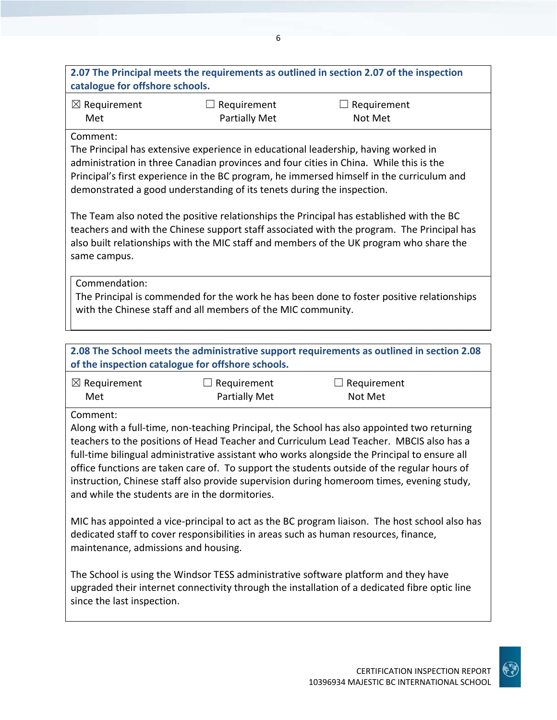**2.07 The Principal meets the requirements as outlined in section 2.07 of the inspection catalogue for offshore schools.** ☒ Requirement Met  $\Box$  Requirement Partially Met  $\Box$  Requirement Not Met

#### Comment:

The Principal has extensive experience in educational leadership, having worked in administration in three Canadian provinces and four cities in China. While this is the Principal's first experience in the BC program, he immersed himself in the curriculum and demonstrated a good understanding of its tenets during the inspection.

The Team also noted the positive relationships the Principal has established with the BC teachers and with the Chinese support staff associated with the program. The Principal has also built relationships with the MIC staff and members of the UK program who share the same campus.

Commendation:

The Principal is commended for the work he has been done to foster positive relationships with the Chinese staff and all members of the MIC community.

## **2.08 The School meets the administrative support requirements as outlined in section 2.08 of the inspection catalogue for offshore schools.**

| $\boxtimes$ Requirement | $\Box$ Requirement   | $\Box$ Requirement |
|-------------------------|----------------------|--------------------|
| Met                     | <b>Partially Met</b> | Not Met            |

Comment:

Along with a full‐time, non‐teaching Principal, the School has also appointed two returning teachers to the positions of Head Teacher and Curriculum Lead Teacher. MBCIS also has a full-time bilingual administrative assistant who works alongside the Principal to ensure all office functions are taken care of. To support the students outside of the regular hours of instruction, Chinese staff also provide supervision during homeroom times, evening study, and while the students are in the dormitories.

MIC has appointed a vice‐principal to act as the BC program liaison. The host school also has dedicated staff to cover responsibilities in areas such as human resources, finance, maintenance, admissions and housing.

The School is using the Windsor TESS administrative software platform and they have upgraded their internet connectivity through the installation of a dedicated fibre optic line since the last inspection.

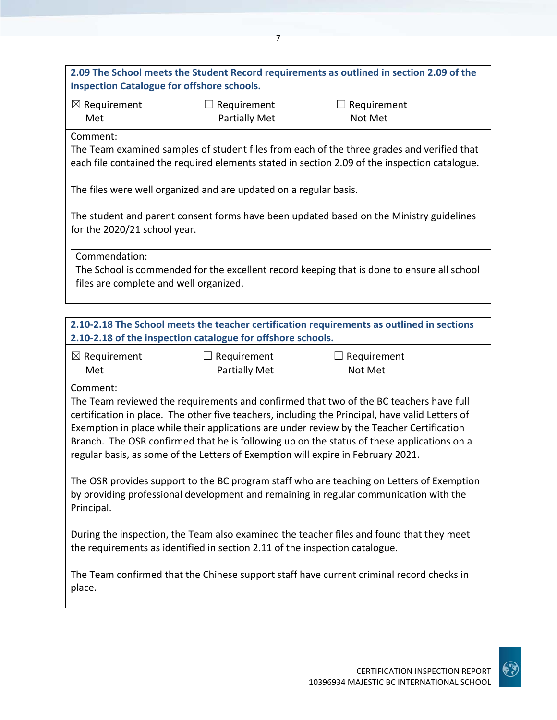**2.09 The School meets the Student Record requirements as outlined in section 2.09 of the Inspection Catalogue for offshore schools.** ☒ Requirement Met  $\Box$  Requirement Partially Met  $\Box$  Requirement Not Met Comment: The Team examined samples of student files from each of the three grades and verified that each file contained the required elements stated in section 2.09 of the inspection catalogue. The files were well organized and are updated on a regular basis. The student and parent consent forms have been updated based on the Ministry guidelines for the 2020/21 school year. Commendation: The School is commended for the excellent record keeping that is done to ensure all school files are complete and well organized. **2.10‐2.18 The School meets the teacher certification requirements as outlined in sections 2.10‐2.18 of the inspection catalogue for offshore schools.**  $\boxtimes$  Requirement Met  $\Box$  Requirement Partially Met  $\Box$  Requirement Not Met Comment: The Team reviewed the requirements and confirmed that two of the BC teachers have full certification in place. The other five teachers, including the Principal, have valid Letters of Exemption in place while their applications are under review by the Teacher Certification Branch. The OSR confirmed that he is following up on the status of these applications on a regular basis, as some of the Letters of Exemption will expire in February 2021. The OSR provides support to the BC program staff who are teaching on Letters of Exemption by providing professional development and remaining in regular communication with the Principal. During the inspection, the Team also examined the teacher files and found that they meet the requirements as identified in section 2.11 of the inspection catalogue. The Team confirmed that the Chinese support staff have current criminal record checks in place.

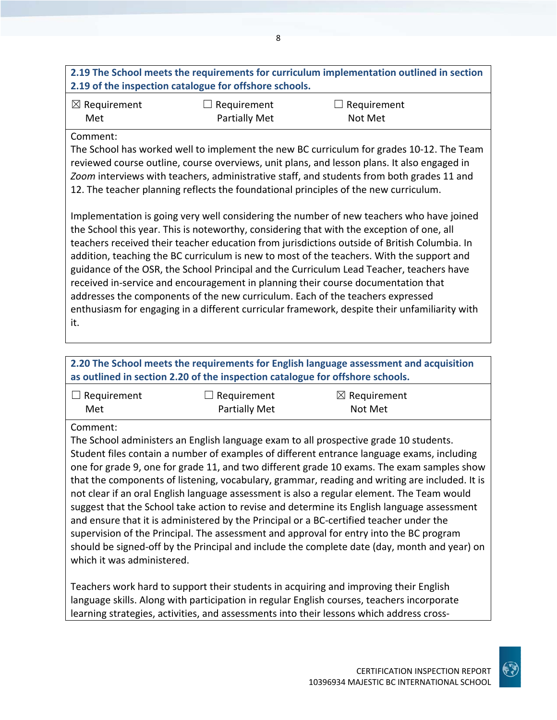## **2.19 The School meets the requirements for curriculum implementation outlined in section 2.19 of the inspection catalogue for offshore schools.**

| $\boxtimes$ Requirement | $\Box$ Requirement | $\Box$ Requirement |
|-------------------------|--------------------|--------------------|
| Met                     | Partially Met      | Not Met            |

#### Comment:

The School has worked well to implement the new BC curriculum for grades 10‐12. The Team reviewed course outline, course overviews, unit plans, and lesson plans. It also engaged in *Zoom* interviews with teachers, administrative staff, and students from both grades 11 and 12. The teacher planning reflects the foundational principles of the new curriculum.

Implementation is going very well considering the number of new teachers who have joined the School this year. This is noteworthy, considering that with the exception of one, all teachers received their teacher education from jurisdictions outside of British Columbia. In addition, teaching the BC curriculum is new to most of the teachers. With the support and guidance of the OSR, the School Principal and the Curriculum Lead Teacher, teachers have received in‐service and encouragement in planning their course documentation that addresses the components of the new curriculum. Each of the teachers expressed enthusiasm for engaging in a different curricular framework, despite their unfamiliarity with it.

## **2.20 The School meets the requirements for English language assessment and acquisition as outlined in section 2.20 of the inspection catalogue for offshore schools.**

| $\Box$ Requirement | $\Box$ Requirement   | $\boxtimes$ Requirement |
|--------------------|----------------------|-------------------------|
| Met                | <b>Partially Met</b> | Not Met                 |

Comment:

The School administers an English language exam to all prospective grade 10 students. Student files contain a number of examples of different entrance language exams, including one for grade 9, one for grade 11, and two different grade 10 exams. The exam samples show that the components of listening, vocabulary, grammar, reading and writing are included. It is not clear if an oral English language assessment is also a regular element. The Team would suggest that the School take action to revise and determine its English language assessment and ensure that it is administered by the Principal or a BC‐certified teacher under the supervision of the Principal. The assessment and approval for entry into the BC program should be signed‐off by the Principal and include the complete date (day, month and year) on which it was administered.

Teachers work hard to support their students in acquiring and improving their English language skills. Along with participation in regular English courses, teachers incorporate learning strategies, activities, and assessments into their lessons which address cross‐

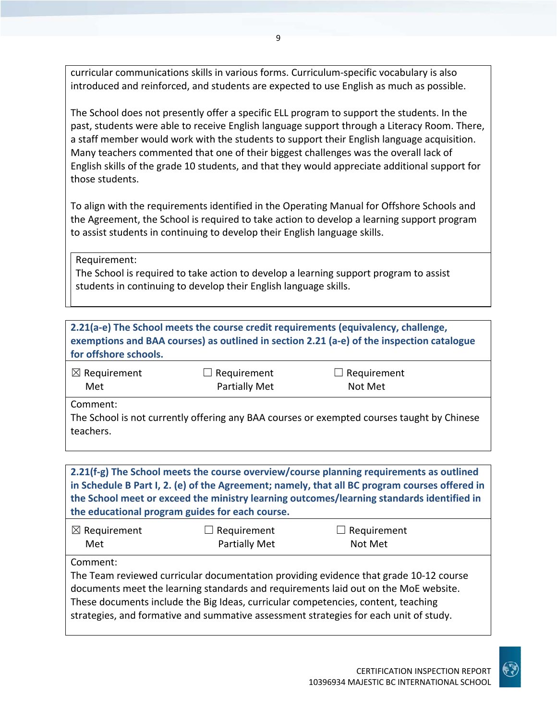curricular communications skills in various forms. Curriculum‐specific vocabulary is also introduced and reinforced, and students are expected to use English as much as possible.

The School does not presently offer a specific ELL program to support the students. In the past, students were able to receive English language support through a Literacy Room. There, a staff member would work with the students to support their English language acquisition. Many teachers commented that one of their biggest challenges was the overall lack of English skills of the grade 10 students, and that they would appreciate additional support for those students.

To align with the requirements identified in the Operating Manual for Offshore Schools and the Agreement, the School is required to take action to develop a learning support program to assist students in continuing to develop their English language skills.

Requirement:

The School is required to take action to develop a learning support program to assist students in continuing to develop their English language skills.

| for offshore schools.                                                                                               |                                     | 2.21(a-e) The School meets the course credit requirements (equivalency, challenge,<br>exemptions and BAA courses) as outlined in section 2.21 (a-e) of the inspection catalogue                                                                                                                                                                            |  |
|---------------------------------------------------------------------------------------------------------------------|-------------------------------------|------------------------------------------------------------------------------------------------------------------------------------------------------------------------------------------------------------------------------------------------------------------------------------------------------------------------------------------------------------|--|
| $\boxtimes$ Requirement<br>Met                                                                                      | Requirement<br><b>Partially Met</b> | Requirement<br>Not Met                                                                                                                                                                                                                                                                                                                                     |  |
| Comment:<br>The School is not currently offering any BAA courses or exempted courses taught by Chinese<br>teachers. |                                     |                                                                                                                                                                                                                                                                                                                                                            |  |
| the educational program guides for each course.                                                                     |                                     | 2.21(f-g) The School meets the course overview/course planning requirements as outlined<br>in Schedule B Part I, 2. (e) of the Agreement; namely, that all BC program courses offered in<br>the School meet or exceed the ministry learning outcomes/learning standards identified in                                                                      |  |
| $\boxtimes$ Requirement<br>Met                                                                                      | Requirement<br><b>Partially Met</b> | Requirement<br>Not Met                                                                                                                                                                                                                                                                                                                                     |  |
| Comment:                                                                                                            |                                     | The Team reviewed curricular documentation providing evidence that grade 10-12 course<br>documents meet the learning standards and requirements laid out on the MoE website.<br>These documents include the Big Ideas, curricular competencies, content, teaching<br>strategies, and formative and summative assessment strategies for each unit of study. |  |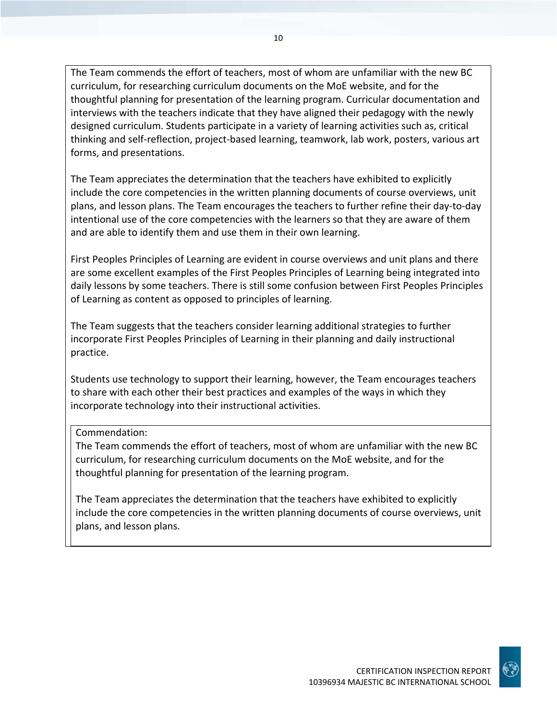The Team commends the effort of teachers, most of whom are unfamiliar with the new BC curriculum, for researching curriculum documents on the MoE website, and for the thoughtful planning for presentation of the learning program. Curricular documentation and interviews with the teachers indicate that they have aligned their pedagogy with the newly designed curriculum. Students participate in a variety of learning activities such as, critical thinking and self‐reflection, project‐based learning, teamwork, lab work, posters, various art forms, and presentations.

The Team appreciates the determination that the teachers have exhibited to explicitly include the core competencies in the written planning documents of course overviews, unit plans, and lesson plans. The Team encourages the teachers to further refine their day‐to‐day intentional use of the core competencies with the learners so that they are aware of them and are able to identify them and use them in their own learning.

First Peoples Principles of Learning are evident in course overviews and unit plans and there are some excellent examples of the First Peoples Principles of Learning being integrated into daily lessons by some teachers. There is still some confusion between First Peoples Principles of Learning as content as opposed to principles of learning.

The Team suggests that the teachers consider learning additional strategies to further incorporate First Peoples Principles of Learning in their planning and daily instructional practice.

Students use technology to support their learning, however, the Team encourages teachers to share with each other their best practices and examples of the ways in which they incorporate technology into their instructional activities.

#### Commendation:

The Team commends the effort of teachers, most of whom are unfamiliar with the new BC curriculum, for researching curriculum documents on the MoE website, and for the thoughtful planning for presentation of the learning program.

The Team appreciates the determination that the teachers have exhibited to explicitly include the core competencies in the written planning documents of course overviews, unit plans, and lesson plans.

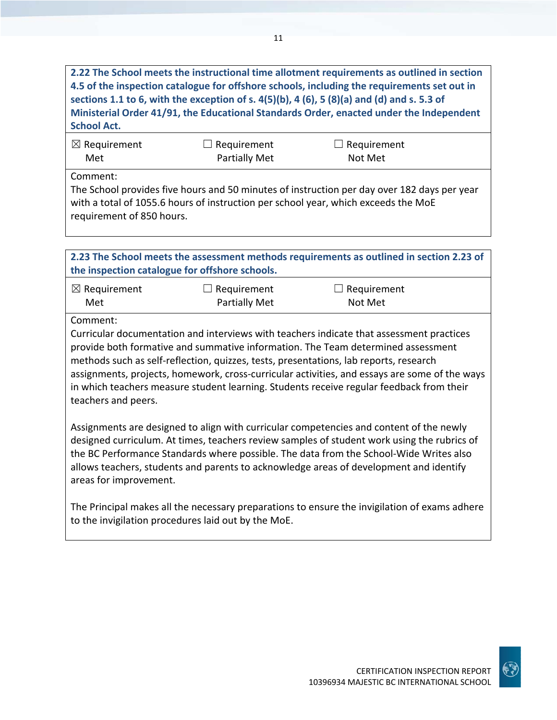**2.22 The School meets the instructional time allotment requirements as outlined in section 4.5 of the inspection catalogue for offshore schools, including the requirements set out in** sections 1.1 to 6, with the exception of s.  $4(5)(b)$ , 4 (6), 5 (8)(a) and (d) and s. 5.3 of **Ministerial Order 41/91, the Educational Standards Order, enacted under the Independent School Act.**

| $\boxtimes$ Requirement | $\Box$ Requirement   | $\Box$ Requirement |  |
|-------------------------|----------------------|--------------------|--|
| Met                     | <b>Partially Met</b> | Not Met            |  |
|                         |                      |                    |  |

Comment:

The School provides five hours and 50 minutes of instruction per day over 182 days per year with a total of 1055.6 hours of instruction per school year, which exceeds the MoE requirement of 850 hours.

**2.23 The School meets the assessment methods requirements as outlined in section 2.23 of the inspection catalogue for offshore schools.**

| $\boxtimes$ Requirement | $\Box$ Requirement   | $\Box$ Requirement |
|-------------------------|----------------------|--------------------|
| Met                     | <b>Partially Met</b> | Not Met            |

## Comment:

Curricular documentation and interviews with teachers indicate that assessment practices provide both formative and summative information. The Team determined assessment methods such as self‐reflection, quizzes, tests, presentations, lab reports, research assignments, projects, homework, cross‐curricular activities, and essays are some of the ways in which teachers measure student learning. Students receive regular feedback from their teachers and peers.

Assignments are designed to align with curricular competencies and content of the newly designed curriculum. At times, teachers review samples of student work using the rubrics of the BC Performance Standards where possible. The data from the School‐Wide Writes also allows teachers, students and parents to acknowledge areas of development and identify areas for improvement.

The Principal makes all the necessary preparations to ensure the invigilation of exams adhere to the invigilation procedures laid out by the MoE.

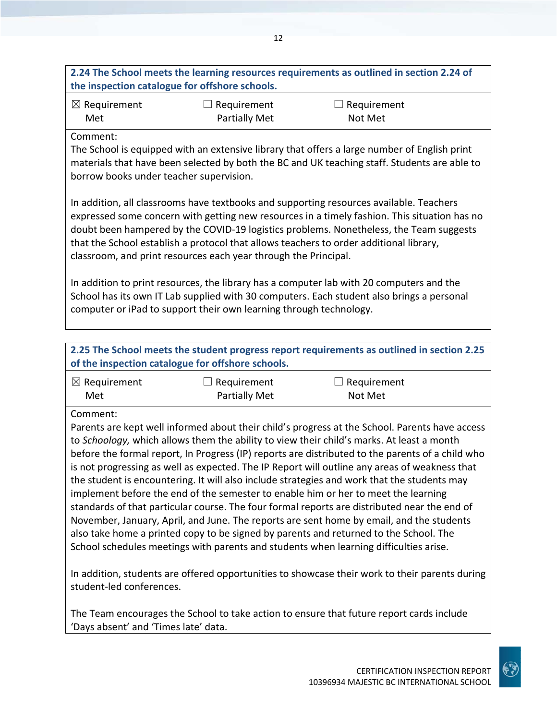## **2.24 The School meets the learning resources requirements as outlined in section 2.24 of the inspection catalogue for offshore schools.**

| $\boxtimes$ Requirement | $\Box$ Requirement   | $\Box$ Requirement |
|-------------------------|----------------------|--------------------|
| Met                     | <b>Partially Met</b> | Not Met            |

#### Comment:

The School is equipped with an extensive library that offers a large number of English print materials that have been selected by both the BC and UK teaching staff. Students are able to borrow books under teacher supervision.

In addition, all classrooms have textbooks and supporting resources available. Teachers expressed some concern with getting new resources in a timely fashion. This situation has no doubt been hampered by the COVID‐19 logistics problems. Nonetheless, the Team suggests that the School establish a protocol that allows teachers to order additional library, classroom, and print resources each year through the Principal.

In addition to print resources, the library has a computer lab with 20 computers and the School has its own IT Lab supplied with 30 computers. Each student also brings a personal computer or iPad to support their own learning through technology.

#### **2.25 The School meets the student progress report requirements as outlined in section 2.25 of the inspection catalogue for offshore schools.** ☒ Requirement Met  $\Box$  Requirement Partially Met  $\Box$  Requirement Not Met Comment: Parents are kept well informed about their child's progress at the School. Parents have access to *Schoology,* which allows them the ability to view their child's marks. At least a month before the formal report, In Progress (IP) reports are distributed to the parents of a child who is not progressing as well as expected. The IP Report will outline any areas of weakness that the student is encountering. It will also include strategies and work that the students may implement before the end of the semester to enable him or her to meet the learning standards of that particular course. The four formal reports are distributed near the end of November, January, April, and June. The reports are sent home by email, and the students also take home a printed copy to be signed by parents and returned to the School. The School schedules meetings with parents and students when learning difficulties arise.

In addition, students are offered opportunities to showcase their work to their parents during student‐led conferences.

The Team encourages the School to take action to ensure that future report cards include 'Days absent' and 'Times late' data.

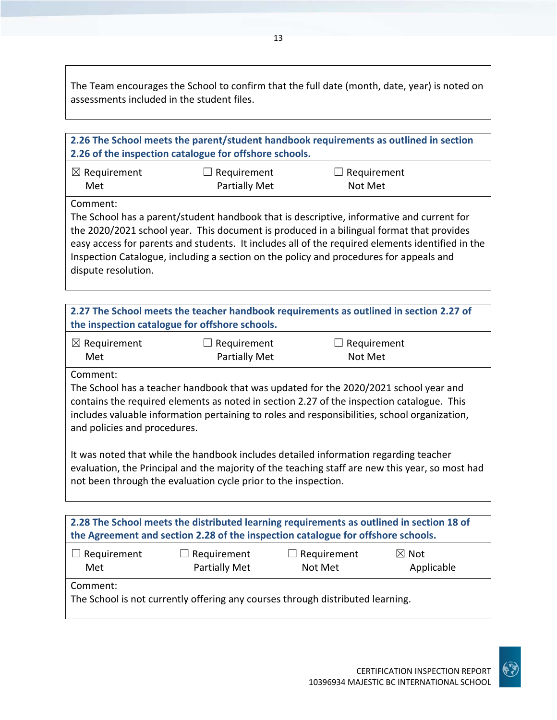The Team encourages the School to confirm that the full date (month, date, year) is noted on assessments included in the student files.

| 2.26 The School meets the parent/student handbook requirements as outlined in section<br>2.26 of the inspection catalogue for offshore schools.                                                                                                                                                                                                                                                                        |                                            |                        |                               |  |
|------------------------------------------------------------------------------------------------------------------------------------------------------------------------------------------------------------------------------------------------------------------------------------------------------------------------------------------------------------------------------------------------------------------------|--------------------------------------------|------------------------|-------------------------------|--|
| $\boxtimes$ Requirement<br>Met                                                                                                                                                                                                                                                                                                                                                                                         | $\Box$ Requirement<br><b>Partially Met</b> |                        | $\Box$ Requirement<br>Not Met |  |
| Comment:<br>The School has a parent/student handbook that is descriptive, informative and current for<br>the 2020/2021 school year. This document is produced in a bilingual format that provides<br>easy access for parents and students. It includes all of the required elements identified in the<br>Inspection Catalogue, including a section on the policy and procedures for appeals and<br>dispute resolution. |                                            |                        |                               |  |
| 2.27 The School meets the teacher handbook requirements as outlined in section 2.27 of<br>the inspection catalogue for offshore schools.                                                                                                                                                                                                                                                                               |                                            |                        |                               |  |
| $\boxtimes$ Requirement<br>Met                                                                                                                                                                                                                                                                                                                                                                                         | $\Box$ Requirement<br><b>Partially Met</b> |                        | $\Box$ Requirement<br>Not Met |  |
| Comment:<br>The School has a teacher handbook that was updated for the 2020/2021 school year and<br>contains the required elements as noted in section 2.27 of the inspection catalogue. This<br>includes valuable information pertaining to roles and responsibilities, school organization,<br>and policies and procedures.                                                                                          |                                            |                        |                               |  |
| It was noted that while the handbook includes detailed information regarding teacher<br>evaluation, the Principal and the majority of the teaching staff are new this year, so most had<br>not been through the evaluation cycle prior to the inspection.                                                                                                                                                              |                                            |                        |                               |  |
| 2.28 The School meets the distributed learning requirements as outlined in section 18 of<br>the Agreement and section 2.28 of the inspection catalogue for offshore schools.                                                                                                                                                                                                                                           |                                            |                        |                               |  |
| Requirement<br>Met                                                                                                                                                                                                                                                                                                                                                                                                     | Requirement<br><b>Partially Met</b>        | Requirement<br>Not Met | $\boxtimes$ Not<br>Applicable |  |
| Comment:<br>The School is not currently offering any courses through distributed learning.                                                                                                                                                                                                                                                                                                                             |                                            |                        |                               |  |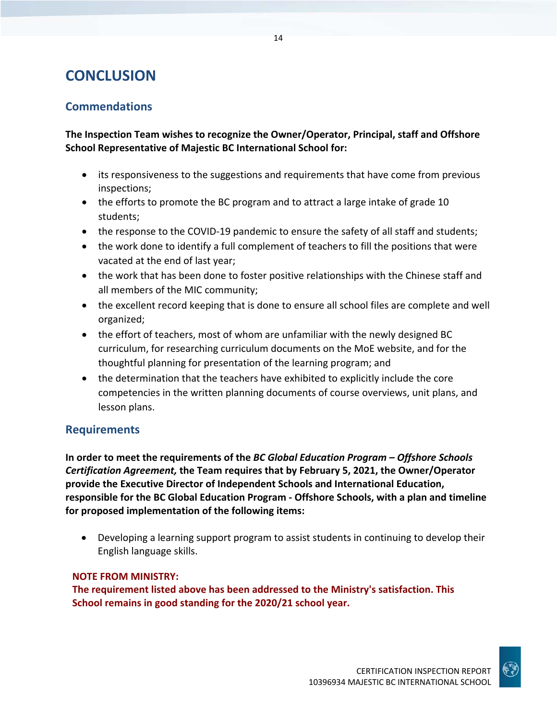## **CONCLUSION**

## **Commendations**

**The Inspection Team wishes to recognize the Owner/Operator, Principal, staff and Offshore School Representative of Majestic BC International School for:**

- its responsiveness to the suggestions and requirements that have come from previous inspections;
- the efforts to promote the BC program and to attract a large intake of grade 10 students;
- the response to the COVID-19 pandemic to ensure the safety of all staff and students;
- the work done to identify a full complement of teachers to fill the positions that were vacated at the end of last year;
- the work that has been done to foster positive relationships with the Chinese staff and all members of the MIC community;
- the excellent record keeping that is done to ensure all school files are complete and well organized;
- the effort of teachers, most of whom are unfamiliar with the newly designed BC curriculum, for researching curriculum documents on the MoE website, and for the thoughtful planning for presentation of the learning program; and
- the determination that the teachers have exhibited to explicitly include the core competencies in the written planning documents of course overviews, unit plans, and lesson plans.

### **Requirements**

**In order to meet the requirements of the** *BC Global Education Program – Offshore Schools Certification Agreement,* **the Team requires that by February 5, 2021, the Owner/Operator provide the Executive Director of Independent Schools and International Education, responsible for the BC Global Education Program ‐ Offshore Schools, with a plan and timeline for proposed implementation of the following items:**

 Developing a learning support program to assist students in continuing to develop their English language skills.

#### **NOTE FROM MINISTRY:**

**The requirement listed above has been addressed to the Ministry's satisfaction. This School remains in good standing for the 2020/21 school year.**